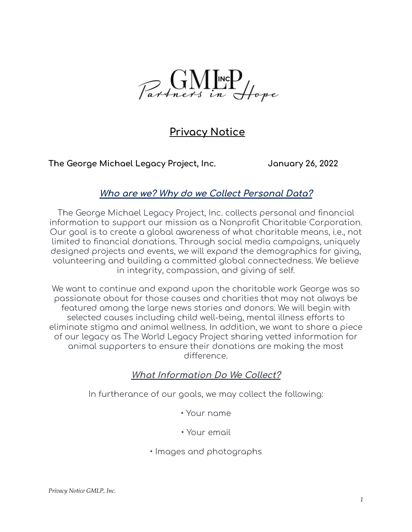

# **Privacy Notice**

**The George Michael Legacy Project, Inc. January 26, 2022**

#### **Who are we? Why do we Collect Personal Data?**

The George Michael Legacy Project, Inc. collects personal and financial information to support our mission as a Nonprofit Charitable Corporation. Our goal is to create a global awareness of what charitable means, i.e., not limited to financial donations. Through social media campaigns, uniquely designed projects and events, we will expand the demographics for giving, volunteering and building a committed global connectedness. We believe in integrity, compassion, and giving of self.

We want to continue and expand upon the charitable work George was so passionate about for those causes and charities that may not always be featured among the large news stories and donors. We will begin with selected causes including child well-being, mental illness efforts to eliminate stigma and animal wellness. In addition, we want to share a piece of our legacy as The World Legacy Project sharing vetted information for animal supporters to ensure their donations are making the most difference.

### **What Information Do We Collect?**

In furtherance of our goals, we may collect the following:

- Your name
- Your email
- Images and photographs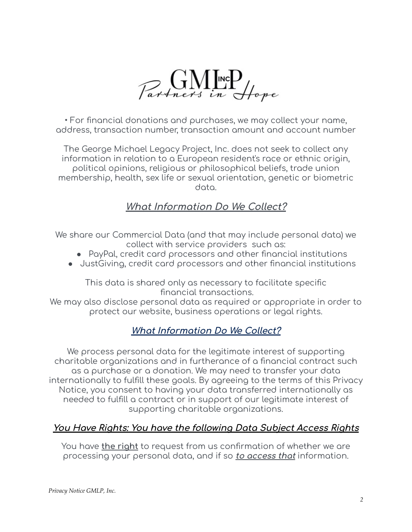

• For financial donations and purchases, we may collect your name, address, transaction number, transaction amount and account number

The George Michael Legacy Project, Inc. does not seek to collect any information in relation to a European resident's race or ethnic origin, political opinions, religious or philosophical beliefs, trade union membership, health, sex life or sexual orientation, genetic or biometric data.

## **What Information Do We Collect?**

We share our Commercial Data (and that may include personal data) we collect with service providers such as:

- PayPal, credit card processors and other financial institutions
- JustGiving, credit card processors and other financial institutions

This data is shared only as necessary to facilitate specific financial transactions.

We may also disclose personal data as required or appropriate in order to protect our website, business operations or legal rights.

### **What Information Do We Collect?**

We process personal data for the legitimate interest of supporting charitable organizations and in furtherance of a financial contract such as a purchase or a donation. We may need to transfer your data internationally to fulfill these goals. By agreeing to the terms of this Privacy Notice, you consent to having your data transferred internationally as needed to fulfill a contract or in support of our legitimate interest of supporting charitable organizations.

### **You Have Rights: You have the following Data Subject Access Rights**

You have **the right** to request from us confirmation of whether we are processing your personal data, and if so **to access that** information.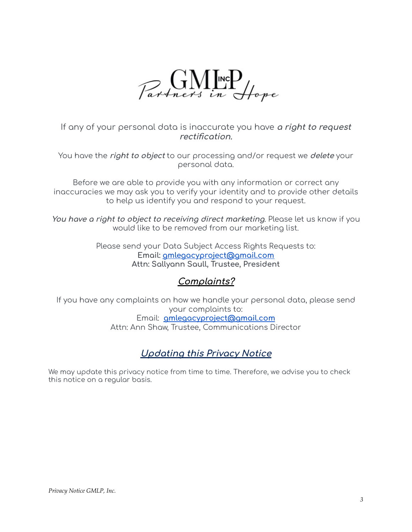

If any of your personal data is inaccurate you have **<sup>a</sup> right to request rectification.**

You have the **right to object** to our processing and/or request we **delete** your personal data.

Before we are able to provide you with any information or correct any inaccuracies we may ask you to verify your identity and to provide other details to help us identify you and respond to your request.

**You have <sup>a</sup> right to object to receiving direct marketing**. Please let us know if you would like to be removed from our marketing list.

> Please send your Data Subject Access Rights Requests to: **Email: [gmlegacyproject@gmail.com](mailto:gmlegacyproject@gmail.com) Attn: Sallyann Saull, Trustee, President**

### **Complaints?**

If you have any complaints on how we handle your personal data, please send your complaints to:

Email: **[gmlegacyproject@gmail.com](mailto:gmlegacyproject@gmail.com)** Attn: Ann Shaw, Trustee, Communications Director

## **Updating this Privacy Notice**

We may update this privacy notice from time to time. Therefore, we advise you to check this notice on a regular basis.